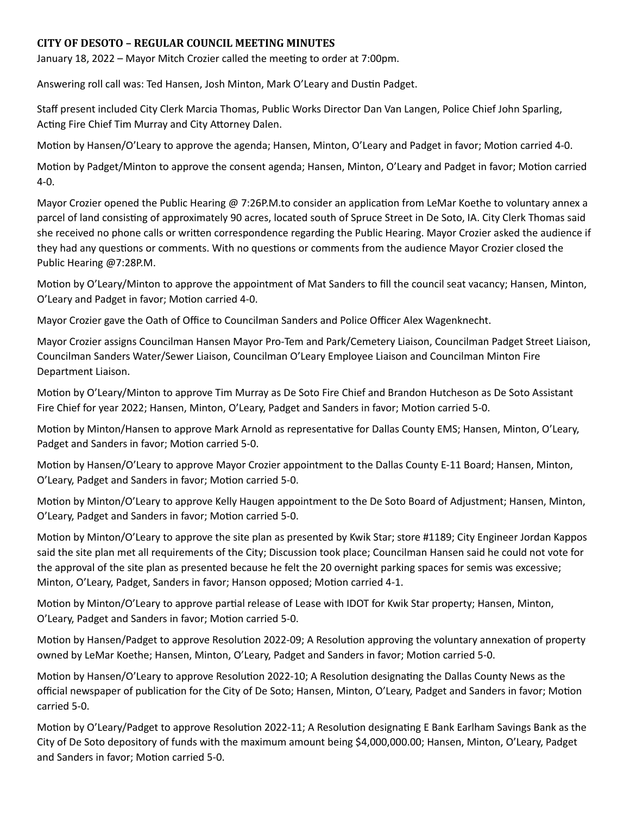## **CITY OF DESOTO – REGULAR COUNCIL MEETING MINUTES**

January 18, 2022 – Mayor Mitch Crozier called the meeting to order at 7:00pm.

Answering roll call was: Ted Hansen, Josh Minton, Mark O'Leary and Dustin Padget.

Staff present included City Clerk Marcia Thomas, Public Works Director Dan Van Langen, Police Chief John Sparling, Acting Fire Chief Tim Murray and City Attorney Dalen.

Motion by Hansen/O'Leary to approve the agenda; Hansen, Minton, O'Leary and Padget in favor; Motion carried 4-0.

Motion by Padget/Minton to approve the consent agenda; Hansen, Minton, O'Leary and Padget in favor; Motion carried 4-0.

Mayor Crozier opened the Public Hearing @ 7:26P.M.to consider an application from LeMar Koethe to voluntary annex a parcel of land consisting of approximately 90 acres, located south of Spruce Street in De Soto, IA. City Clerk Thomas said she received no phone calls or written correspondence regarding the Public Hearing. Mayor Crozier asked the audience if they had any questions or comments. With no questions or comments from the audience Mayor Crozier closed the Public Hearing @7:28P.M.

Motion by O'Leary/Minton to approve the appointment of Mat Sanders to fill the council seat vacancy; Hansen, Minton, O'Leary and Padget in favor; Motion carried 4-0.

Mayor Crozier gave the Oath of Office to Councilman Sanders and Police Officer Alex Wagenknecht.

Mayor Crozier assigns Councilman Hansen Mayor Pro-Tem and Park/Cemetery Liaison, Councilman Padget Street Liaison, Councilman Sanders Water/Sewer Liaison, Councilman O'Leary Employee Liaison and Councilman Minton Fire Department Liaison.

Motion by O'Leary/Minton to approve Tim Murray as De Soto Fire Chief and Brandon Hutcheson as De Soto Assistant Fire Chief for year 2022; Hansen, Minton, O'Leary, Padget and Sanders in favor; Motion carried 5-0.

Motion by Minton/Hansen to approve Mark Arnold as representative for Dallas County EMS; Hansen, Minton, O'Leary, Padget and Sanders in favor; Motion carried 5-0.

Motion by Hansen/O'Leary to approve Mayor Crozier appointment to the Dallas County E-11 Board; Hansen, Minton, O'Leary, Padget and Sanders in favor; Motion carried 5-0.

Motion by Minton/O'Leary to approve Kelly Haugen appointment to the De Soto Board of Adjustment; Hansen, Minton, O'Leary, Padget and Sanders in favor; Motion carried 5-0.

Motion by Minton/O'Leary to approve the site plan as presented by Kwik Star; store #1189; City Engineer Jordan Kappos said the site plan met all requirements of the City; Discussion took place; Councilman Hansen said he could not vote for the approval of the site plan as presented because he felt the 20 overnight parking spaces for semis was excessive; Minton, O'Leary, Padget, Sanders in favor; Hanson opposed; Motion carried 4-1.

Motion by Minton/O'Leary to approve partial release of Lease with IDOT for Kwik Star property; Hansen, Minton, O'Leary, Padget and Sanders in favor; Motion carried 5-0.

Motion by Hansen/Padget to approve Resolution 2022-09; A Resolution approving the voluntary annexation of property owned by LeMar Koethe; Hansen, Minton, O'Leary, Padget and Sanders in favor; Motion carried 5-0.

Motion by Hansen/O'Leary to approve Resolution 2022-10; A Resolution designating the Dallas County News as the official newspaper of publication for the City of De Soto; Hansen, Minton, O'Leary, Padget and Sanders in favor; Motion carried 5-0.

Motion by O'Leary/Padget to approve Resolution 2022-11; A Resolution designating E Bank Earlham Savings Bank as the City of De Soto depository of funds with the maximum amount being \$4,000,000.00; Hansen, Minton, O'Leary, Padget and Sanders in favor; Motion carried 5-0.